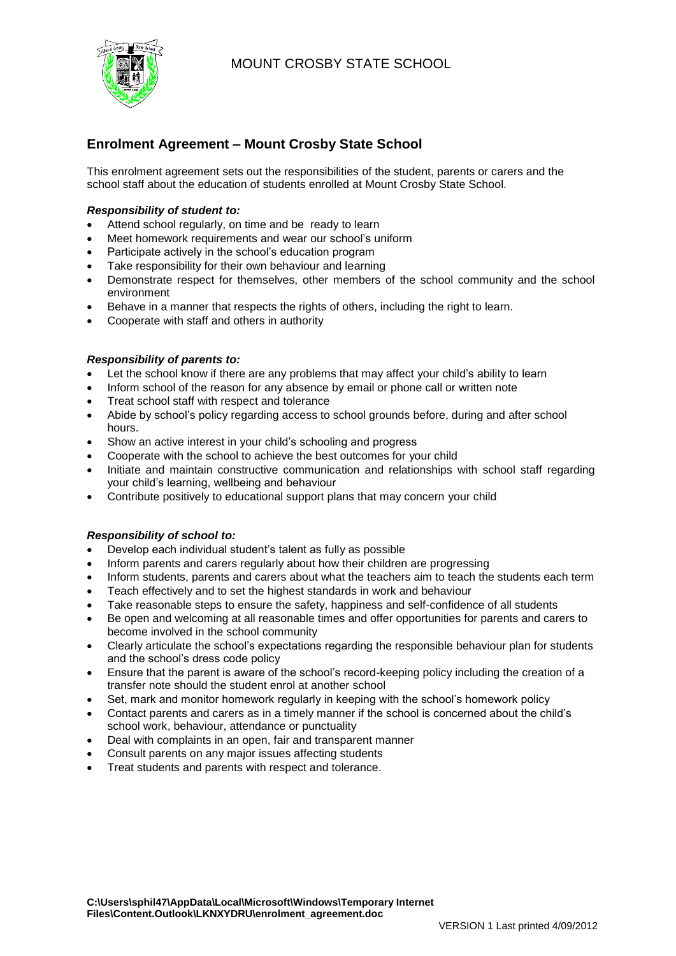MOUNT CROSBY STATE SCHOOL



## **Enrolment Agreement – Mount Crosby State School**

This enrolment agreement sets out the responsibilities of the student, parents or carers and the school staff about the education of students enrolled at Mount Crosby State School.

### *Responsibility of student to:*

- Attend school regularly, on time and be ready to learn
- Meet homework requirements and wear our school's uniform
- Participate actively in the school's education program
- Take responsibility for their own behaviour and learning
- Demonstrate respect for themselves, other members of the school community and the school environment
- Behave in a manner that respects the rights of others, including the right to learn.
- Cooperate with staff and others in authority

#### *Responsibility of parents to:*

- Let the school know if there are any problems that may affect your child's ability to learn
- Inform school of the reason for any absence by email or phone call or written note
- Treat school staff with respect and tolerance
- Abide by school's policy regarding access to school grounds before, during and after school hours.
- Show an active interest in your child's schooling and progress
- Cooperate with the school to achieve the best outcomes for your child
- Initiate and maintain constructive communication and relationships with school staff regarding your child's learning, wellbeing and behaviour
- Contribute positively to educational support plans that may concern your child

#### *Responsibility of school to:*

- Develop each individual student's talent as fully as possible
- Inform parents and carers regularly about how their children are progressing
- Inform students, parents and carers about what the teachers aim to teach the students each term
- Teach effectively and to set the highest standards in work and behaviour
- Take reasonable steps to ensure the safety, happiness and self-confidence of all students
- Be open and welcoming at all reasonable times and offer opportunities for parents and carers to become involved in the school community
- Clearly articulate the school's expectations regarding the responsible behaviour plan for students and the school's dress code policy
- Ensure that the parent is aware of the school's record-keeping policy including the creation of a transfer note should the student enrol at another school
- Set, mark and monitor homework regularly in keeping with the school's homework policy
- Contact parents and carers as in a timely manner if the school is concerned about the child's school work, behaviour, attendance or punctuality
- Deal with complaints in an open, fair and transparent manner
- Consult parents on any major issues affecting students
- Treat students and parents with respect and tolerance.